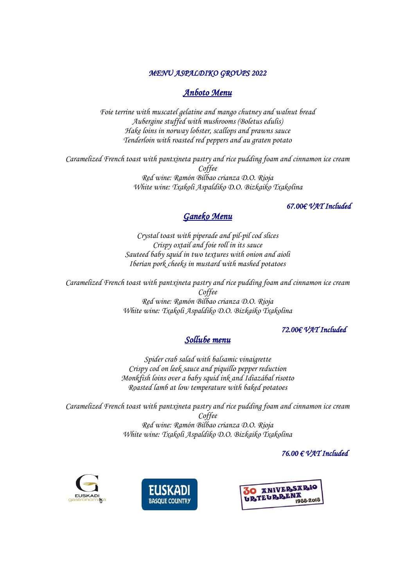#### *MENU ASPALDIKO GROUPS 2022*

## *Anboto Menu*

*Foie terrine with muscatel gelatine and mango chutney and walnut bread Aubergine stuffed with mushrooms (Boletus edulis) Hake loins in norway lobster, scallops and prawns sauce Tenderloin with roasted red peppers and au graten potato* 

*Caramelized French toast with pantxineta pastry and rice pudding foam and cinnamon ice cream Coffee Red wine: Ramón Bilbao crianza D.O. Rioja White wine: Txakoli Aspaldiko D.O. Bizkaiko Txakolina* 

### *67.00€ VAT Included*

## *Ganeko Menu*

*Crystal toast with piperade and pil-pil cod slices Crispy oxtail and foie roll in its sauce Sauteed baby squid in two textures with onion and aioli Iberian pork cheeks in mustard with mashed potatoes*

*Caramelized French toast with pantxineta pastry and rice pudding foam and cinnamon ice cream Coffee Red wine: Ramón Bilbao crianza D.O. Rioja White wine: Txakoli Aspaldiko D.O. Bizkaiko Txakolina* 

### *72.00€ VAT Included*

# *Sollube menu*

*Spider crab salad with balsamic vinaigrette Crispy cod on leek sauce and piquillo pepper reduction Monkfish loins over a baby squid ink and Idiazábal risotto Roasted lamb at low temperature with baked potatoes* 

*Caramelized French toast with pantxineta pastry and rice pudding foam and cinnamon ice cream Coffee Red wine: Ramón Bilbao crianza D.O. Rioja White wine: Txakoli Aspaldiko D.O. Bizkaiko Txakolina*

#### *76.00 € VAT Included*